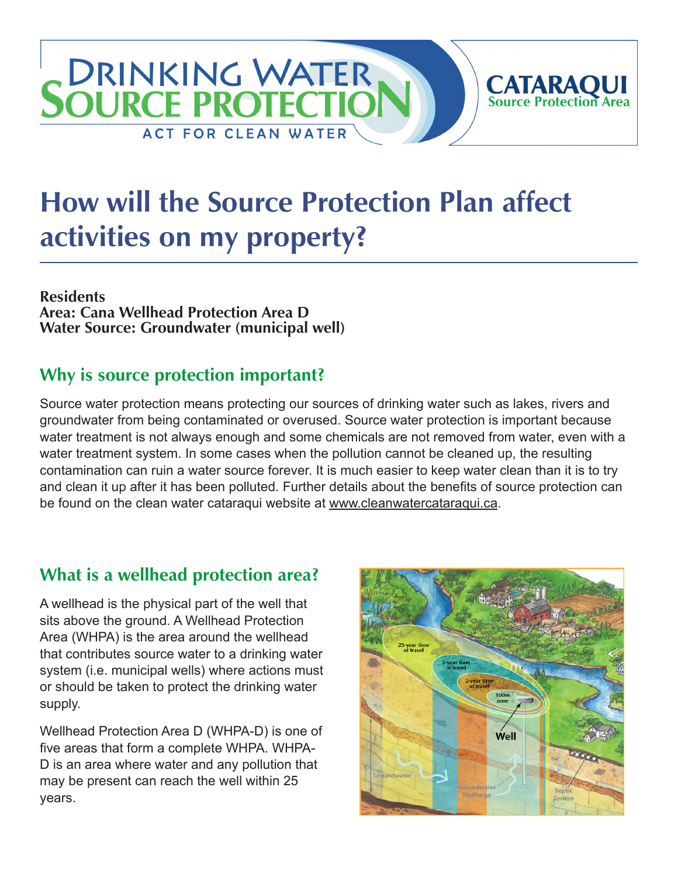# **DRINKING WATER CATARAQUI**<br>Source Protection Area **SOURCE PROTECTIC ACT FOR CLEAN WATER**

# **How will the Source Protection Plan affect activities on my property?**

**Residents Area: Cana Wellhead Protection Area D Water Source: Groundwater (municipal well)**

#### **Why is source protection important?**

Source water protection means protecting our sources of drinking water such as lakes, rivers and groundwater from being contaminated or overused. Source water protection is important because water treatment is not always enough and some chemicals are not removed from water, even with a water treatment system. In some cases when the pollution cannot be cleaned up, the resulting contamination can ruin a water source forever. It is much easier to keep water clean than it is to try and clean it up after it has been polluted. Further details about the benefits of source protection can be found on the clean water cataraqui website at [www.cleanwatercataraqui.ca.](http://www.cleanwatercataraqui.ca/)

### **What is a wellhead protection area?**

A wellhead is the physical part of the well that sits above the ground. A Wellhead Protection Area (WHPA) is the area around the wellhead that contributes source water to a drinking water system (i.e. municipal wells) where actions must or should be taken to protect the drinking water supply.

Wellhead Protection Area D (WHPA-D) is one of five areas that form a complete WHPA. WHPA-D is an area where water and any pollution that may be present can reach the well within 25 years.

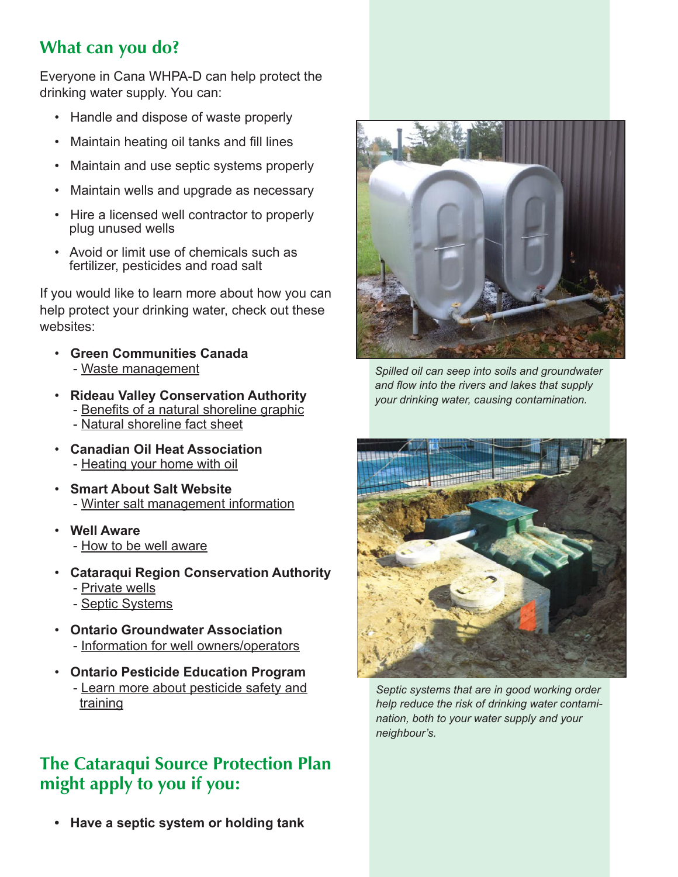### **What can you do?**

Everyone in Cana WHPA-D can help protect the drinking water supply. You can:

- Handle and dispose of waste properly
- Maintain heating oil tanks and fill lines
- Maintain and use septic systems properly
- Maintain wells and upgrade as necessary
- Hire a licensed well contractor to properly plug unused wells
- Avoid or limit use of chemicals such as fertilizer, pesticides and road salt

If you would like to learn more about how you can help protect your drinking water, check out these websites:

- **Green Communities Canada** - [Waste management](http://www.greencommunities.nonprofitwebsites.ca/what-we-work-on/waste/)
- **Rideau Valley Conservation Authority** - [Benefits of a natural shoreline graphic](http://www.crca.ca/wp-content/uploads/PDFs/ShorelineNaturalization-RVCA.pdf) - [Natural shoreline fact sheet](http://www.rvca.ca/programs/shoreline_naturalization_program/PDF/Benefits%20of%20a%20Natural%20Shoreline.pdf)
- **Canadian Oil Heat Association** - [Heating your home with oil](http://www.coha-ontario.ca/)
- **Smart About Salt Website** - [Winter salt management information](http://www.smartaboutsalt.com/)
- **Well Aware** - [How to be well aware](http://www.wellaware.ca/)
- **Cataraqui Region Conservation Authority**
	- - [Private wells](http://www.cleanwatercataraqui.ca/publications/private_wells.pdf)
	- - [Septic Systems](http://www.cleanwatercataraqui.ca/publications/septic_systems.pdf)
- **Ontario Groundwater Association** - [Information for well owners/operators](http://www.ogwa.ca/)
- **Ontario Pesticide Education Program** - [Learn more about pesticide safety and](http://www.opep.ca/)  [training](http://www.opep.ca/)

#### **The Cataraqui Source Protection Plan might apply to you if you:**

 **• Have a septic system or holding tank**



*Spilled oil can seep into soils and groundwater and flow into the rivers and lakes that supply your drinking water, causing contamination.*



*Septic systems that are in good working order help reduce the risk of drinking water contamination, both to your water supply and your neighbour's.*